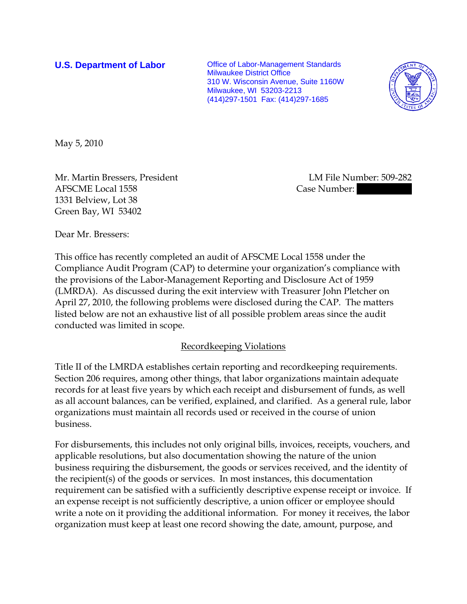**U.S. Department of Labor Conservative Conservative Conservative Conservative Conservative Conservative Conservative Conservative Conservative Conservative Conservative Conservative Conservative Conservative Conservative** Milwaukee District Office 310 W. Wisconsin Avenue, Suite 1160W Milwaukee, WI 53203-2213 (414)297-1501 Fax: (414)297-1685



May 5, 2010

Mr. Martin Bressers, President LM File Number: 509-282 AFSCME Local 1558 Case Number: 1331 Belview, Lot 38 Green Bay, WI 53402

Dear Mr. Bressers:

This office has recently completed an audit of AFSCME Local 1558 under the Compliance Audit Program (CAP) to determine your organization's compliance with the provisions of the Labor-Management Reporting and Disclosure Act of 1959 (LMRDA). As discussed during the exit interview with Treasurer John Pletcher on April 27, 2010, the following problems were disclosed during the CAP. The matters listed below are not an exhaustive list of all possible problem areas since the audit conducted was limited in scope.

## Recordkeeping Violations

Title II of the LMRDA establishes certain reporting and recordkeeping requirements. Section 206 requires, among other things, that labor organizations maintain adequate records for at least five years by which each receipt and disbursement of funds, as well as all account balances, can be verified, explained, and clarified. As a general rule, labor organizations must maintain all records used or received in the course of union business.

For disbursements, this includes not only original bills, invoices, receipts, vouchers, and applicable resolutions, but also documentation showing the nature of the union business requiring the disbursement, the goods or services received, and the identity of the recipient(s) of the goods or services. In most instances, this documentation requirement can be satisfied with a sufficiently descriptive expense receipt or invoice. If an expense receipt is not sufficiently descriptive, a union officer or employee should write a note on it providing the additional information. For money it receives, the labor organization must keep at least one record showing the date, amount, purpose, and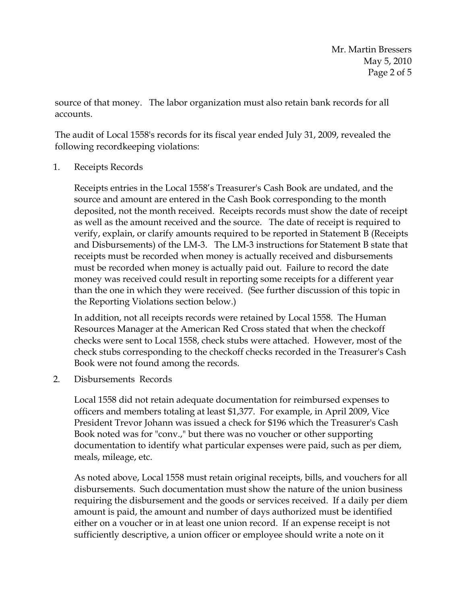source of that money. The labor organization must also retain bank records for all accounts.

The audit of Local 1558's records for its fiscal year ended July 31, 2009, revealed the following recordkeeping violations:

1. Receipts Records

Receipts entries in the Local 1558's Treasurer's Cash Book are undated, and the source and amount are entered in the Cash Book corresponding to the month deposited, not the month received. Receipts records must show the date of receipt as well as the amount received and the source. The date of receipt is required to verify, explain, or clarify amounts required to be reported in Statement B (Receipts and Disbursements) of the LM-3. The LM-3 instructions for Statement B state that receipts must be recorded when money is actually received and disbursements must be recorded when money is actually paid out. Failure to record the date money was received could result in reporting some receipts for a different year than the one in which they were received. (See further discussion of this topic in the Reporting Violations section below.)

In addition, not all receipts records were retained by Local 1558. The Human Resources Manager at the American Red Cross stated that when the checkoff checks were sent to Local 1558, check stubs were attached. However, most of the check stubs corresponding to the checkoff checks recorded in the Treasurer's Cash Book were not found among the records.

2. Disbursements Records

Local 1558 did not retain adequate documentation for reimbursed expenses to officers and members totaling at least \$1,377. For example, in April 2009, Vice President Trevor Johann was issued a check for \$196 which the Treasurer's Cash Book noted was for "conv.," but there was no voucher or other supporting documentation to identify what particular expenses were paid, such as per diem, meals, mileage, etc.

As noted above, Local 1558 must retain original receipts, bills, and vouchers for all disbursements. Such documentation must show the nature of the union business requiring the disbursement and the goods or services received. If a daily per diem amount is paid, the amount and number of days authorized must be identified either on a voucher or in at least one union record. If an expense receipt is not sufficiently descriptive, a union officer or employee should write a note on it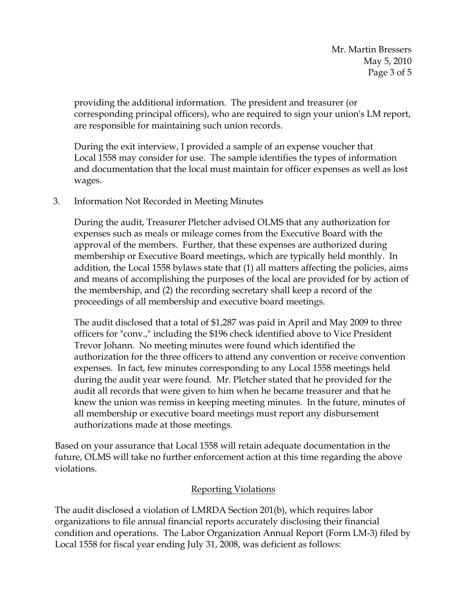providing the additional information. The president and treasurer (or corresponding principal officers), who are required to sign your union's LM report, are responsible for maintaining such union records.

During the exit interview, I provided a sample of an expense voucher that Local 1558 may consider for use. The sample identifies the types of information and documentation that the local must maintain for officer expenses as well as lost wages.

3. Information Not Recorded in Meeting Minutes

During the audit, Treasurer Pletcher advised OLMS that any authorization for expenses such as meals or mileage comes from the Executive Board with the approval of the members. Further, that these expenses are authorized during membership or Executive Board meetings, which are typically held monthly. In addition, the Local 1558 bylaws state that (1) all matters affecting the policies, aims and means of accomplishing the purposes of the local are provided for by action of the membership, and (2) the recording secretary shall keep a record of the proceedings of all membership and executive board meetings.

The audit disclosed that a total of \$1,287 was paid in April and May 2009 to three officers for "conv.," including the \$196 check identified above to Vice President Trevor Johann. No meeting minutes were found which identified the authorization for the three officers to attend any convention or receive convention expenses. In fact, few minutes corresponding to any Local 1558 meetings held during the audit year were found. Mr. Pletcher stated that he provided for the audit all records that were given to him when he became treasurer and that he knew the union was remiss in keeping meeting minutes. In the future, minutes of all membership or executive board meetings must report any disbursement authorizations made at those meetings.

Based on your assurance that Local 1558 will retain adequate documentation in the future, OLMS will take no further enforcement action at this time regarding the above violations.

# Reporting Violations

The audit disclosed a violation of LMRDA Section 201(b), which requires labor organizations to file annual financial reports accurately disclosing their financial condition and operations. The Labor Organization Annual Report (Form LM-3) filed by Local 1558 for fiscal year ending July 31, 2008, was deficient as follows: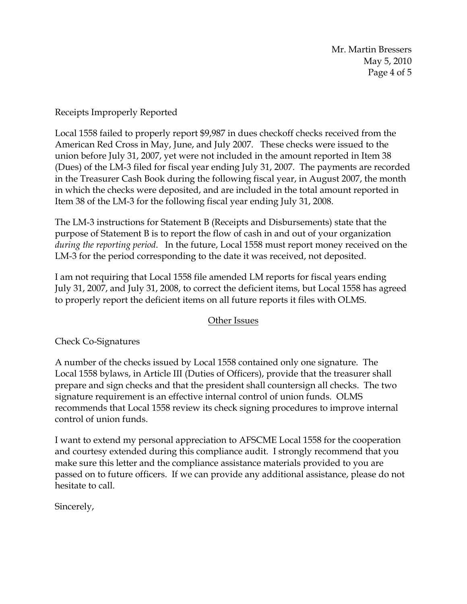Mr. Martin Bressers May 5, 2010 Page 4 of 5

## Receipts Improperly Reported

Local 1558 failed to properly report \$9,987 in dues checkoff checks received from the American Red Cross in May, June, and July 2007. These checks were issued to the union before July 31, 2007, yet were not included in the amount reported in Item 38 (Dues) of the LM-3 filed for fiscal year ending July 31, 2007. The payments are recorded in the Treasurer Cash Book during the following fiscal year, in August 2007, the month in which the checks were deposited, and are included in the total amount reported in Item 38 of the LM-3 for the following fiscal year ending July 31, 2008.

The LM-3 instructions for Statement B (Receipts and Disbursements) state that the purpose of Statement B is to report the flow of cash in and out of your organization *during the reporting period*. In the future, Local 1558 must report money received on the LM-3 for the period corresponding to the date it was received, not deposited.

I am not requiring that Local 1558 file amended LM reports for fiscal years ending July 31, 2007, and July 31, 2008, to correct the deficient items, but Local 1558 has agreed to properly report the deficient items on all future reports it files with OLMS.

## Other Issues

Check Co-Signatures

A number of the checks issued by Local 1558 contained only one signature. The Local 1558 bylaws, in Article III (Duties of Officers), provide that the treasurer shall prepare and sign checks and that the president shall countersign all checks. The two signature requirement is an effective internal control of union funds. OLMS recommends that Local 1558 review its check signing procedures to improve internal control of union funds.

I want to extend my personal appreciation to AFSCME Local 1558 for the cooperation and courtesy extended during this compliance audit. I strongly recommend that you make sure this letter and the compliance assistance materials provided to you are passed on to future officers. If we can provide any additional assistance, please do not hesitate to call.

Sincerely,